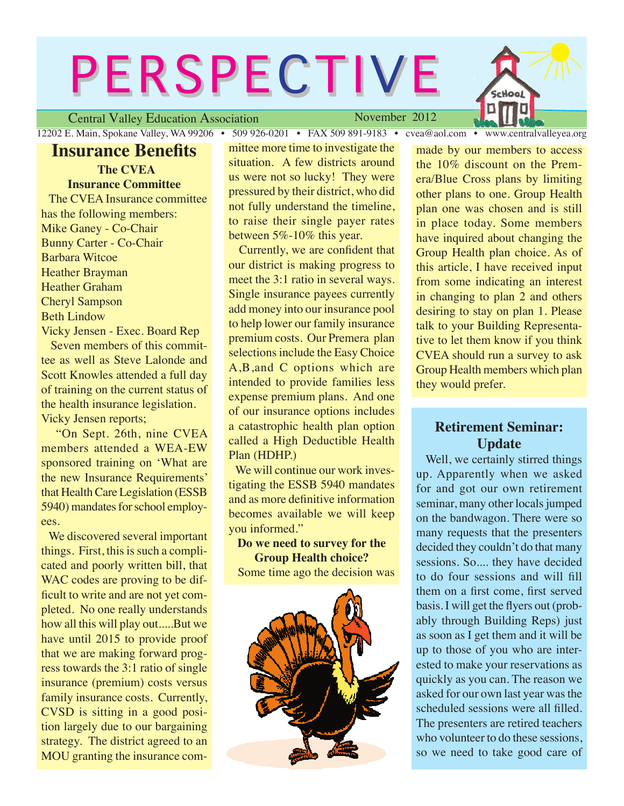# **PERSPECTIVE**

Central Valley Education Association

November 2012

12202 E. Main, Spokane Valley, WA 99206 • 509 926-0201 • FAX 509 891-9183 • cvea@aol.com • www.centralvalleyea.org

Hoal

## **Insurance Benefits**

**The CVEA Insurance Committee** The CVEA Insurance committee has the following members: Mike Ganey - Co-Chair Bunny Carter - Co-Chair Barbara Witcoe Heather Brayman Heather Graham Cheryl Sampson Beth Lindow Vicky Jensen - Exec. Board Rep

 Seven members of this committee as well as Steve Lalonde and Scott Knowles attended a full day of training on the current status of the health insurance legislation. Vicky Jensen reports;

 "On Sept. 26th, nine CVEA members attended a WEA-EW sponsored training on 'What are the new Insurance Requirements' that Health Care Legislation (ESSB 5940) mandates for school employees.

 We discovered several important things. First, this is such a complicated and poorly written bill, that WAC codes are proving to be difficult to write and are not yet completed. No one really understands how all this will play out.....But we have until 2015 to provide proof that we are making forward progress towards the 3:1 ratio of single insurance (premium) costs versus family insurance costs. Currently, CVSD is sitting in a good position largely due to our bargaining strategy. The district agreed to an MOU granting the insurance committee more time to investigate the situation. A few districts around us were not so lucky! They were pressured by their district, who did not fully understand the timeline, to raise their single payer rates between 5%-10% this year.

 Currently, we are confident that our district is making progress to meet the 3:1 ratio in several ways. Single insurance payees currently add money into our insurance pool to help lower our family insurance premium costs. Our Premera plan selections include the Easy Choice A,B,and C options which are intended to provide families less expense premium plans. And one of our insurance options includes a catastrophic health plan option called a High Deductible Health Plan (HDHP.)

We will continue our work investigating the ESSB 5940 mandates and as more definitive information becomes available we will keep you informed."

**Do we need to survey for the Group Health choice?** Some time ago the decision was



made by our members to access the 10% discount on the Premera/Blue Cross plans by limiting other plans to one. Group Health plan one was chosen and is still in place today. Some members have inquired about changing the Group Health plan choice. As of this article, I have received input from some indicating an interest in changing to plan 2 and others desiring to stay on plan 1. Please talk to your Building Representative to let them know if you think CVEA should run a survey to ask Group Health members which plan they would prefer.

## **Retirement Seminar: Update**

 Well, we certainly stirred things up. Apparently when we asked for and got our own retirement seminar, many other locals jumped on the bandwagon. There were so many requests that the presenters decided they couldn't do that many sessions. So.... they have decided to do four sessions and will fill them on a first come, first served basis. I will get the flyers out (probably through Building Reps) just as soon as I get them and it will be up to those of you who are interested to make your reservations as quickly as you can. The reason we asked for our own last year was the scheduled sessions were all filled. The presenters are retired teachers who volunteer to do these sessions, so we need to take good care of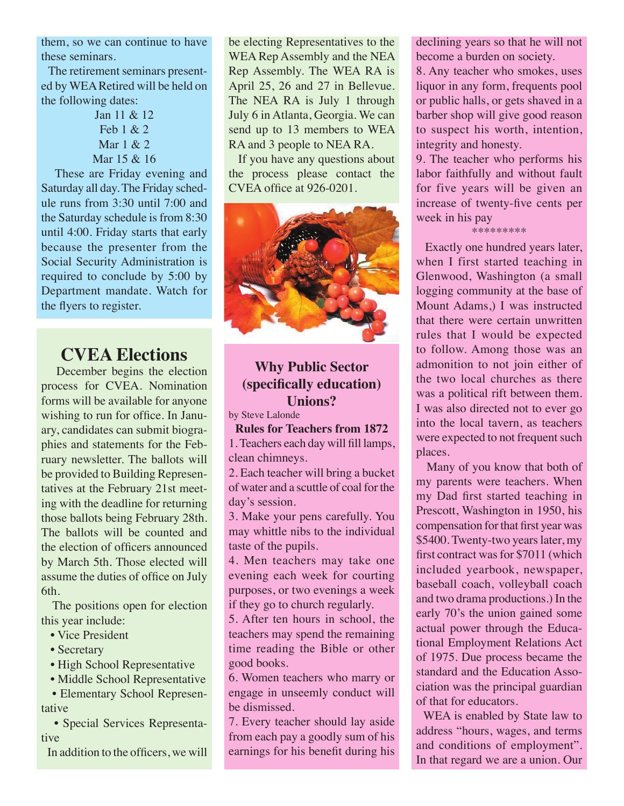them, so we can continue to have these seminars.

 The retirement seminars presented by WEA Retired will be held on the following dates:

> Jan 11 & 12 Feb 1 & 2 Mar 1 & 2 Mar 15 & 16

 These are Friday evening and Saturday all day. The Friday schedule runs from 3:30 until 7:00 and the Saturday schedule is from 8:30 until 4:00. Friday starts that early because the presenter from the Social Security Administration is required to conclude by 5:00 by Department mandate. Watch for the flyers to register.

# **CVEA Elections**

 December begins the election process for CVEA. Nomination forms will be available for anyone wishing to run for office. In January, candidates can submit biographies and statements for the February newsletter. The ballots will be provided to Building Representatives at the February 21st meeting with the deadline for returning those ballots being February 28th. The ballots will be counted and the election of officers announced by March 5th. Those elected will assume the duties of office on July 6th.

 The positions open for election this year include:

- Vice President
- Secretary
- High School Representative
- Middle School Representative

 • Elementary School Representative

 • Special Services Representative

In addition to the officers, we will

be electing Representatives to the WEA Rep Assembly and the NEA Rep Assembly. The WEA RA is April 25, 26 and 27 in Bellevue. The NEA RA is July 1 through July 6 in Atlanta, Georgia. We can send up to 13 members to WEA RA and 3 people to NEA RA.

 If you have any questions about the process please contact the CVEA office at 926-0201.



## **Why Public Sector (specifically education) Unions?**

by Steve Lalonde

## **Rules for Teachers from 1872**

1. Teachers each day will fill lamps, clean chimneys.

2. Each teacher will bring a bucket of water and a scuttle of coal for the day's session.

3. Make your pens carefully. You may whittle nibs to the individual taste of the pupils.

4. Men teachers may take one evening each week for courting purposes, or two evenings a week if they go to church regularly.

5. After ten hours in school, the teachers may spend the remaining time reading the Bible or other good books.

6. Women teachers who marry or engage in unseemly conduct will be dismissed.

7. Every teacher should lay aside from each pay a goodly sum of his earnings for his benefit during his

declining years so that he will not become a burden on society.

8. Any teacher who smokes, uses liquor in any form, frequents pool or public halls, or gets shaved in a barber shop will give good reason to suspect his worth, intention, integrity and honesty.

9. The teacher who performs his labor faithfully and without fault for five years will be given an increase of twenty-five cents per week in his pay

#### \*\*\*\*\*\*\*\*\*

 Exactly one hundred years later, when I first started teaching in Glenwood, Washington (a small logging community at the base of Mount Adams,) I was instructed that there were certain unwritten rules that I would be expected to follow. Among those was an admonition to not join either of the two local churches as there was a political rift between them. I was also directed not to ever go into the local tavern, as teachers were expected to not frequent such places.

 Many of you know that both of my parents were teachers. When my Dad first started teaching in Prescott, Washington in 1950, his compensation for that first year was \$5400. Twenty-two years later, my first contract was for \$7011 (which included yearbook, newspaper, baseball coach, volleyball coach and two drama productions.) In the early 70's the union gained some actual power through the Educational Employment Relations Act of 1975. Due process became the standard and the Education Association was the principal guardian of that for educators.

 WEA is enabled by State law to address "hours, wages, and terms and conditions of employment". In that regard we are a union. Our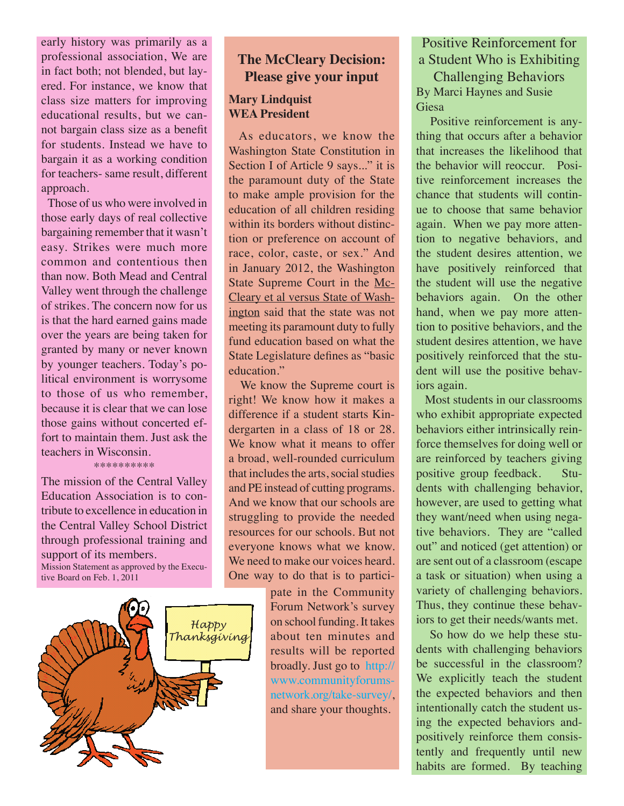early history was primarily as a professional association, We are in fact both; not blended, but layered. For instance, we know that class size matters for improving educational results, but we cannot bargain class size as a benefit for students. Instead we have to bargain it as a working condition for teachers- same result, different approach.

 Those of us who were involved in those early days of real collective bargaining remember that it wasn't easy. Strikes were much more common and contentious then than now. Both Mead and Central Valley went through the challenge of strikes. The concern now for us is that the hard earned gains made over the years are being taken for granted by many or never known by younger teachers. Today's political environment is worrysome to those of us who remember, because it is clear that we can lose those gains without concerted effort to maintain them. Just ask the teachers in Wisconsin. \*\*\*\*\*\*\*\*\*\*

The mission of the Central Valley Education Association is to contribute to excellence in education in the Central Valley School District through professional training and support of its members. Mission Statement as approved by the Executive Board on Feb. 1, 2011



## **The McCleary Decision: Please give your input**

## **Mary Lindquist WEA President**

 As educators, we know the Washington State Constitution in Section I of Article 9 says..." it is the paramount duty of the State to make ample provision for the education of all children residing within its borders without distinction or preference on account of race, color, caste, or sex." And in January 2012, the Washington State Supreme Court in the Mc-Cleary et al versus State of Washington said that the state was not meeting its paramount duty to fully fund education based on what the State Legislature defines as "basic education."

 We know the Supreme court is right! We know how it makes a difference if a student starts Kindergarten in a class of 18 or 28. We know what it means to offer a broad, well-rounded curriculum that includes the arts, social studies and PE instead of cutting programs. And we know that our schools are struggling to provide the needed resources for our schools. But not everyone knows what we know. We need to make our voices heard. One way to do that is to partici-

> pate in the Community Forum Network's survey on school funding. It takes about ten minutes and results will be reported broadly. Just go to [http://](http://www.communityforumsnetwork.org/take-survey/) [www.communityforums](http://www.communityforumsnetwork.org/take-survey/)[network.org/take-survey/](http://www.communityforumsnetwork.org/take-survey/), and share your thoughts.

## Positive Reinforcement for a Student Who is Exhibiting

Challenging Behaviors By Marci Haynes and Susie Giesa

 Positive reinforcement is anything that occurs after a behavior that increases the likelihood that the behavior will reoccur. Positive reinforcement increases the chance that students will continue to choose that same behavior again. When we pay more attention to negative behaviors, and the student desires attention, we have positively reinforced that the student will use the negative behaviors again. On the other hand, when we pay more attention to positive behaviors, and the student desires attention, we have positively reinforced that the student will use the positive behaviors again.

 Most students in our classrooms who exhibit appropriate expected behaviors either intrinsically reinforce themselves for doing well or are reinforced by teachers giving positive group feedback. Students with challenging behavior, however, are used to getting what they want/need when using negative behaviors. They are "called out" and noticed (get attention) or are sent out of a classroom (escape a task or situation) when using a variety of challenging behaviors. Thus, they continue these behaviors to get their needs/wants met.

 So how do we help these students with challenging behaviors be successful in the classroom? We explicitly teach the student the expected behaviors and then intentionally catch the student using the expected behaviors andpositively reinforce them consistently and frequently until new habits are formed. By teaching